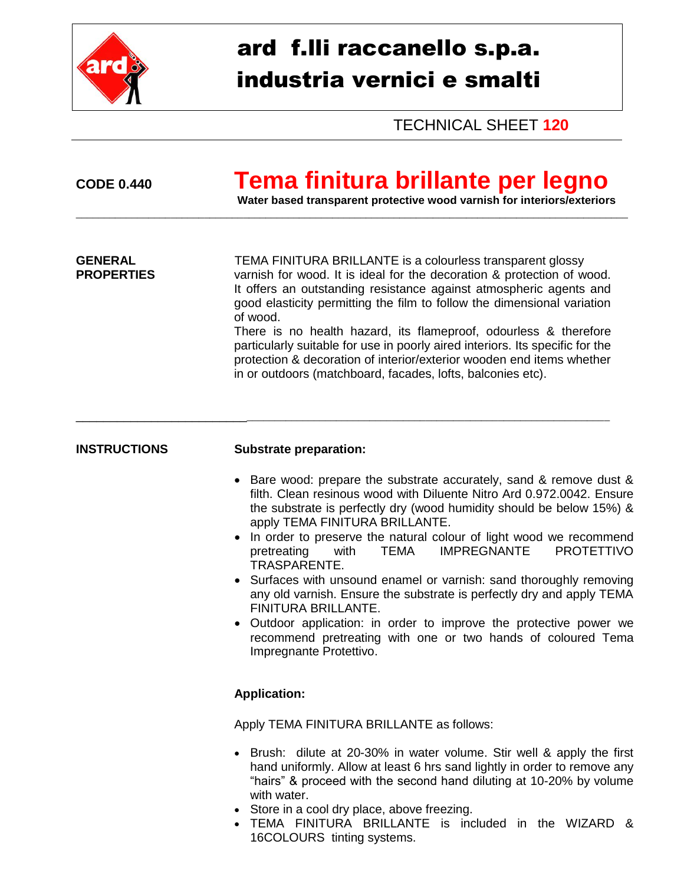

# ard f.lli raccanello s.p.a. industria vernici e smalti

TECHNICAL SHEET **120**

## **CODE 0.440 Tema finitura brillante per legno**

**Water based transparent protective wood varnish for interiors/exteriors**

**GENERAL** TEMA FINITURA BRILLANTE is a colourless transparent glossy **PROPERTIES** varnish for wood. It is ideal for the decoration & protection of wood. It offers an outstanding resistance against atmospheric agents and good elasticity permitting the film to follow the dimensional variation of wood. There is no health hazard, its flameproof, odourless & therefore particularly suitable for use in poorly aired interiors. Its specific for the protection & decoration of interior/exterior wooden end items whether in or outdoors (matchboard, facades, lofts, balconies etc).

\_\_\_\_\_\_\_\_\_\_\_\_\_\_\_\_\_\_\_\_\_\_\_\_\_\_\_\_\_\_\_\_\_\_\_\_\_\_\_\_\_\_\_\_\_\_\_\_\_\_\_\_\_\_\_\_\_\_\_\_\_\_\_\_\_\_\_\_\_\_\_\_\_\_\_\_\_\_\_\_\_\_\_\_\_\_\_\_\_\_

\_\_\_\_\_\_\_\_\_\_\_\_\_\_\_\_\_\_\_\_\_\_\_\_\_\_\_\_\_\_\_\_\_\_\_\_\_\_\_\_\_\_\_\_\_\_\_\_\_\_\_\_\_\_\_\_\_\_\_\_\_\_\_\_\_\_\_\_\_\_\_\_\_\_\_\_\_\_\_\_\_\_\_\_\_\_\_\_\_\_\_\_\_\_\_\_\_\_\_

### **INSTRUCTIONS Substrate preparation:**

- Bare wood: prepare the substrate accurately, sand & remove dust & filth. Clean resinous wood with Diluente Nitro Ard 0.972.0042. Ensure the substrate is perfectly dry (wood humidity should be below 15%) & apply TEMA FINITURA BRILLANTE.
- In order to preserve the natural colour of light wood we recommend pretreating with TEMA IMPREGNANTE PROTETTIVO TRASPARENTE.
- Surfaces with unsound enamel or varnish: sand thoroughly removing any old varnish. Ensure the substrate is perfectly dry and apply TEMA FINITURA BRILLANTE.
- Outdoor application: in order to improve the protective power we recommend pretreating with one or two hands of coloured Tema Impregnante Protettivo.

#### **Application:**

Apply TEMA FINITURA BRILLANTE as follows:

- Brush: dilute at 20-30% in water volume. Stir well & apply the first hand uniformly. Allow at least 6 hrs sand lightly in order to remove any "hairs" & proceed with the second hand diluting at 10-20% by volume with water.
- Store in a cool dry place, above freezing.
- TEMA FINITURA BRILLANTE is included in the WIZARD & 16COLOURS tinting systems.